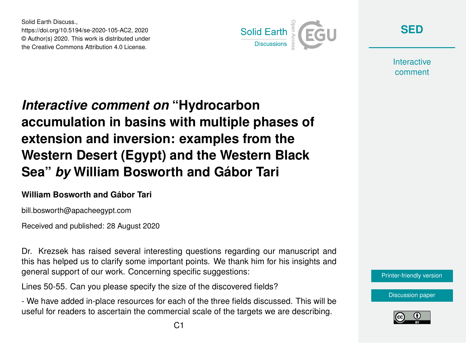Solid Earth Discuss., https://doi.org/10.5194/se-2020-105-AC2, 2020 © Author(s) 2020. This work is distributed under the Creative Commons Attribution 4.0 License.



**[SED](https://se.copernicus.org/preprints/)**

**Interactive** comment

## *Interactive comment on* **"Hydrocarbon accumulation in basins with multiple phases of extension and inversion: examples from the Western Desert (Egypt) and the Western Black Sea"** *by* **William Bosworth and Gábor Tari**

## **William Bosworth and Gábor Tari**

bill.bosworth@apacheegypt.com

Received and published: 28 August 2020

Dr. Krezsek has raised several interesting questions regarding our manuscript and this has helped us to clarify some important points. We thank him for his insights and general support of our work. Concerning specific suggestions:

Lines 50-55. Can you please specify the size of the discovered fields?

- We have added in-place resources for each of the three fields discussed. This will be useful for readers to ascertain the commercial scale of the targets we are describing.



[Discussion paper](https://se.copernicus.org/preprints/se-2020-105)

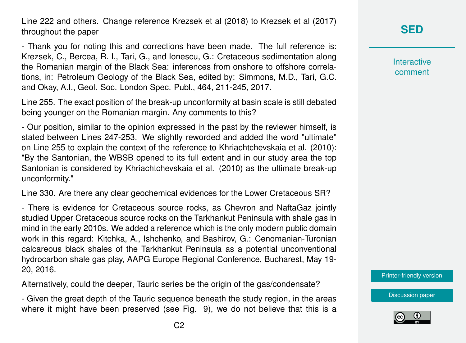Line 222 and others. Change reference Krezsek et al (2018) to Krezsek et al (2017) throughout the paper

- Thank you for noting this and corrections have been made. The full reference is: Krezsek, C., Bercea, R. I., Tari, G., and Ionescu, G.: Cretaceous sedimentation along the Romanian margin of the Black Sea: inferences from onshore to offshore correlations, in: Petroleum Geology of the Black Sea, edited by: Simmons, M.D., Tari, G.C. and Okay, A.I., Geol. Soc. London Spec. Publ., 464, 211-245, 2017.

Line 255. The exact position of the break-up unconformity at basin scale is still debated being younger on the Romanian margin. Any comments to this?

- Our position, similar to the opinion expressed in the past by the reviewer himself, is stated between Lines 247-253. We slightly reworded and added the word "ultimate" on Line 255 to explain the context of the reference to Khriachtchevskaia et al. (2010): "By the Santonian, the WBSB opened to its full extent and in our study area the top Santonian is considered by Khriachtchevskaia et al. (2010) as the ultimate break-up unconformity."

Line 330. Are there any clear geochemical evidences for the Lower Cretaceous SR?

- There is evidence for Cretaceous source rocks, as Chevron and NaftaGaz jointly studied Upper Cretaceous source rocks on the Tarkhankut Peninsula with shale gas in mind in the early 2010s. We added a reference which is the only modern public domain work in this regard: Kitchka, A., Ishchenko, and Bashirov, G.: Cenomanian-Turonian calcareous black shales of the Tarkhankut Peninsula as a potential unconventional hydrocarbon shale gas play, AAPG Europe Regional Conference, Bucharest, May 19- 20, 2016.

Alternatively, could the deeper, Tauric series be the origin of the gas/condensate?

- Given the great depth of the Tauric sequence beneath the study region, in the areas where it might have been preserved (see Fig. 9), we do not believe that this is a

## **[SED](https://se.copernicus.org/preprints/)**

**Interactive** comment

[Printer-friendly version](https://se.copernicus.org/preprints/se-2020-105/se-2020-105-AC2-print.pdf)

[Discussion paper](https://se.copernicus.org/preprints/se-2020-105)